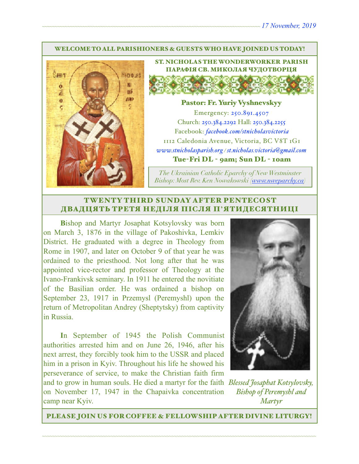#### WELCOME TO ALL PARISHIONERS & GUESTS WHO HAVE JOINED US TODAY!



ST. NICHOLAS THE WONDERWORKER PARISH ПАРАФІЯ СВ. МИКОЛАЯ ЧУДОТВОРЦЯ

#### Pastor: Fr. Yuriy Vyshnevskyy

Emergency: 250.891.4507 Church: 250.384.2292 Hall: 250.384.2255 Facebook: *[facebook.com/stnicholasvictoria](http://facebook.com/stnicholasvictoria)* 1112 Caledonia Avenue, Victoria, BC V8T 1G1 *[www.stnicholasparish.org](http://www.stnicholasparish.org) / [st.nicholas.victoria@gmail.com](mailto:st.nicholas.victoria@gmail.com)* Tue-Fri DL - 9am; Sun DL - 10am

*The Ukrainian Catholic Eparchy of New Westminster Bishop: Most Rev. Ken Nowakowski ([www.nweparchy.ca](http://www.nweparchy.ca))*

## TWENTY THIRD SUNDAY AFTER PENTECOST ДВАДЦЯТЬ ТРЕТЯ НЕДІЛЯ ПІСЛЯ П**'**ЯТИДЕСЯТНИЦІ

**B**ishop and Martyr Josaphat Kotsylovsky was born on March 3, 1876 in the village of Pakoshivka, Lemkiv District. He graduated with a degree in Theology from Rome in 1907, and later on October 9 of that year he was ordained to the priesthood. Not long after that he was appointed vice-rector and professor of Theology at the Ivano-Frankivsk seminary. In 1911 he entered the novitiate of the Basilian order. He was ordained a bishop on September 23, 1917 in Przemysl (Peremyshl) upon the return of Metropolitan Andrey (Sheptytsky) from captivity in Russia.

**I**n September of 1945 the Polish Communist authorities arrested him and on June 26, 1946, after his next arrest, they forcibly took him to the USSR and placed him in a prison in Kyiv. Throughout his life he showed his perseverance of service, to make the Christian faith firm and to grow in human souls. He died a martyr for the faith *Blessed Josaphat Kotsylovsky,*  on November 17, 1947 in the Chapaivka concentration

camp near Kyiv.



*Bishop of Peremyshl and Martyr*

PLEASE JOIN US FOR COFFEE & FELLOWSHIP AFTER DIVINE LITURGY!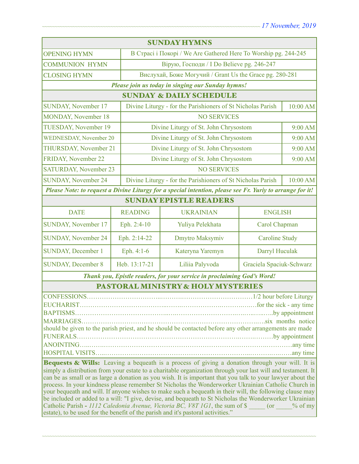| <b>SUNDAY HYMNS</b>                                                                                                                                                                                                                                                                                                                                                                                                                                                                                                                                                                                                                                                                                                                                                                                                                               |                |                                                                         |                          |         |  |  |
|---------------------------------------------------------------------------------------------------------------------------------------------------------------------------------------------------------------------------------------------------------------------------------------------------------------------------------------------------------------------------------------------------------------------------------------------------------------------------------------------------------------------------------------------------------------------------------------------------------------------------------------------------------------------------------------------------------------------------------------------------------------------------------------------------------------------------------------------------|----------------|-------------------------------------------------------------------------|--------------------------|---------|--|--|
| <b>OPENING HYMN</b>                                                                                                                                                                                                                                                                                                                                                                                                                                                                                                                                                                                                                                                                                                                                                                                                                               |                | В Страсі і Покорі / We Are Gathered Here To Worship pg. 244-245         |                          |         |  |  |
| <b>COMMUNION HYMN</b>                                                                                                                                                                                                                                                                                                                                                                                                                                                                                                                                                                                                                                                                                                                                                                                                                             |                | Вірую, Господи / I Do Believe pg. 246-247                               |                          |         |  |  |
| <b>CLOSING HYMN</b>                                                                                                                                                                                                                                                                                                                                                                                                                                                                                                                                                                                                                                                                                                                                                                                                                               |                | Вислухай, Боже Могучий / Grant Us the Grace pg. 280-281                 |                          |         |  |  |
| Please join us today in singing our Sunday hymns!                                                                                                                                                                                                                                                                                                                                                                                                                                                                                                                                                                                                                                                                                                                                                                                                 |                |                                                                         |                          |         |  |  |
|                                                                                                                                                                                                                                                                                                                                                                                                                                                                                                                                                                                                                                                                                                                                                                                                                                                   |                | <b>SUNDAY &amp; DAILY SCHEDULE</b>                                      |                          |         |  |  |
| <b>SUNDAY, November 17</b>                                                                                                                                                                                                                                                                                                                                                                                                                                                                                                                                                                                                                                                                                                                                                                                                                        |                | Divine Liturgy - for the Parishioners of St Nicholas Parish<br>10:00 AM |                          |         |  |  |
| MONDAY, November 18                                                                                                                                                                                                                                                                                                                                                                                                                                                                                                                                                                                                                                                                                                                                                                                                                               |                | <b>NO SERVICES</b>                                                      |                          |         |  |  |
| <b>TUESDAY, November 19</b>                                                                                                                                                                                                                                                                                                                                                                                                                                                                                                                                                                                                                                                                                                                                                                                                                       |                | Divine Liturgy of St. John Chrysostom                                   |                          | 9:00 AM |  |  |
| <b>WEDNESDAY, November 20</b>                                                                                                                                                                                                                                                                                                                                                                                                                                                                                                                                                                                                                                                                                                                                                                                                                     |                | Divine Liturgy of St. John Chrysostom                                   |                          | 9:00 AM |  |  |
| <b>THURSDAY, November 21</b>                                                                                                                                                                                                                                                                                                                                                                                                                                                                                                                                                                                                                                                                                                                                                                                                                      |                | Divine Liturgy of St. John Chrysostom                                   |                          | 9:00 AM |  |  |
| <b>FRIDAY, November 22</b>                                                                                                                                                                                                                                                                                                                                                                                                                                                                                                                                                                                                                                                                                                                                                                                                                        |                | Divine Liturgy of St. John Chrysostom                                   |                          | 9:00 AM |  |  |
| <b>SATURDAY, November 23</b>                                                                                                                                                                                                                                                                                                                                                                                                                                                                                                                                                                                                                                                                                                                                                                                                                      |                | <b>NO SERVICES</b>                                                      |                          |         |  |  |
| <b>SUNDAY, November 24</b>                                                                                                                                                                                                                                                                                                                                                                                                                                                                                                                                                                                                                                                                                                                                                                                                                        |                | Divine Liturgy - for the Parishioners of St Nicholas Parish<br>10:00 AM |                          |         |  |  |
| Please Note: to request a Divine Liturgy for a special intention, please see Fr. Yuriy to arrange for it!                                                                                                                                                                                                                                                                                                                                                                                                                                                                                                                                                                                                                                                                                                                                         |                |                                                                         |                          |         |  |  |
| <b>SUNDAY EPISTLE READERS</b>                                                                                                                                                                                                                                                                                                                                                                                                                                                                                                                                                                                                                                                                                                                                                                                                                     |                |                                                                         |                          |         |  |  |
| <b>DATE</b>                                                                                                                                                                                                                                                                                                                                                                                                                                                                                                                                                                                                                                                                                                                                                                                                                                       | <b>READING</b> | <b>UKRAINIAN</b>                                                        | <b>ENGLISH</b>           |         |  |  |
| SUNDAY, November 17                                                                                                                                                                                                                                                                                                                                                                                                                                                                                                                                                                                                                                                                                                                                                                                                                               | Eph. 2:4-10    | Yuliya Pelekhata                                                        | Carol Chapman            |         |  |  |
| <b>SUNDAY, November 24</b>                                                                                                                                                                                                                                                                                                                                                                                                                                                                                                                                                                                                                                                                                                                                                                                                                        | Eph. 2:14-22   | Dmytro Maksymiv                                                         | <b>Caroline Study</b>    |         |  |  |
| <b>SUNDAY, December 1</b>                                                                                                                                                                                                                                                                                                                                                                                                                                                                                                                                                                                                                                                                                                                                                                                                                         | Eph. 4:1-6     | Kateryna Yaremyn                                                        | Darryl Huculak           |         |  |  |
| <b>SUNDAY, December 8</b>                                                                                                                                                                                                                                                                                                                                                                                                                                                                                                                                                                                                                                                                                                                                                                                                                         | Heb. 13:17-21  | Liliia Palyvoda                                                         | Graciela Spaciuk-Schwarz |         |  |  |
| Thank you, Epistle readers, for your service in proclaiming God's Word!                                                                                                                                                                                                                                                                                                                                                                                                                                                                                                                                                                                                                                                                                                                                                                           |                |                                                                         |                          |         |  |  |
|                                                                                                                                                                                                                                                                                                                                                                                                                                                                                                                                                                                                                                                                                                                                                                                                                                                   |                | PASTORAL MINISTRY & HOLY MYSTERIES                                      |                          |         |  |  |
| should be given to the parish priest, and he should be contacted before any other arrangements are made                                                                                                                                                                                                                                                                                                                                                                                                                                                                                                                                                                                                                                                                                                                                           |                |                                                                         |                          |         |  |  |
| Bequests & Wills: Leaving a bequeath is a process of giving a donation through your will. It is<br>simply a distribution from your estate to a charitable organization through your last will and testament. It<br>can be as small or as large a donation as you wish. It is important that you talk to your lawyer about the<br>process. In your kindness please remember St Nicholas the Wonderworker Ukrainian Catholic Church in<br>your bequeath and will. If anyone wishes to make such a bequeath in their will, the following clause may<br>be included or added to a will: "I give, devise, and bequeath to St Nicholas the Wonderworker Ukrainian<br>Catholic Parish - 1112 Caledonia Avenue, Victoria BC, V8T 1G1, the sum of \$ (or<br>$\%$ of my<br>estate), to be used for the benefit of the parish and it's pastoral activities." |                |                                                                         |                          |         |  |  |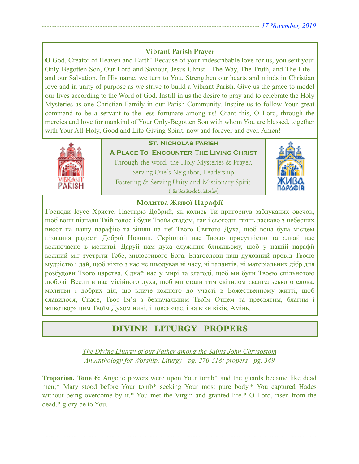# **Vibrant Parish Prayer**

**O** God, Creator of Heaven and Earth! Because of your indescribable love for us, you sent your Only-Begotten Son, Our Lord and Saviour, Jesus Christ - The Way, The Truth, and The Life and our Salvation. In His name, we turn to You. Strengthen our hearts and minds in Christian love and in unity of purpose as we strive to build a Vibrant Parish. Give us the grace to model our lives according to the Word of God. Instill in us the desire to pray and to celebrate the Holy Mysteries as one Christian Family in our Parish Community. Inspire us to follow Your great command to be a servant to the less fortunate among us! Grant this, O Lord, through the mercies and love for mankind of Your Only-Begotten Son with whom You are blessed, together with Your All-Holy, Good and Life-Giving Spirit, now and forever and ever. Amen!



# **St. Nicholas Parish**

**A Place To Encounter The Living Christ** Through the word, the Holy Mysteries & Prayer, Serving One's Neighbor, Leadership Fostering & Serving Unity and Missionary Spirit (His Beatitude Sviatoslav)



## **Молитва Живої Парафії**

**Г**осподи Ісусе Христе, Пастирю Добрий, як колись Ти пригорнув заблуканих овечок, щоб вони пізнали Твій голос і були Твоїм стадом, так і сьогодні глянь ласкаво з небесних висот на нашу парафію та зішли на неї Твого Святого Духа, щоб вона була місцем пізнання радості Доброї Новини. Скріплюй нас Твоєю присутністю та єднай нас кожночасно в молитві. Даруй нам духа служіння ближньому, щоб у нашій парафії кожний міг зустріти Тебе, милостивого Бога. Благослови наш духовний провід Твоєю мудрістю і дай, щоб ніхто з нас не шкодував ні часу, ні талантів, ні матеріальних дібр для розбудови Твого царства. Єднай нас у мирі та злагоді, щоб ми були Твоєю спільнотою любові. Всели в нас місійного духа, щоб ми стали тим світилом євангельського слова, молитви і добрих діл, що кличе кожного до участі в Божественному житті, щоб славилося, Спасе, Твоє Ім'я з безначальним Твоїм Отцем та пресвятим, благим і животворящим Твоїм Духом нині, і повсякчас, і на віки віків. Амінь.

# DIVINE LITURGY PROPERS

*The Divine Liturgy of our Father among the Saints John Chrysostom An Anthology for Worship: Liturgy - pg. 270-318; propers - pg. 349* 

**Troparion, Tone 6:** Angelic powers were upon Your tomb\* and the guards became like dead men;\* Mary stood before Your tomb\* seeking Your most pure body.\* You captured Hades without being overcome by it.\* You met the Virgin and granted life.\* O Lord, risen from the dead,\* glory be to You.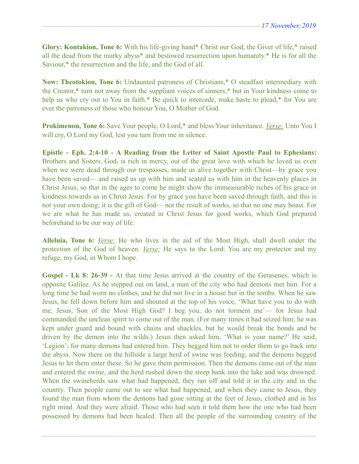**Glory: Kontakion, Tone 6:** With his life-giving hand\* Christ our God, the Giver of life,\* raised all the dead from the murky abyss\* and bestowed resurrection upon humanity.\* He is for all the Saviour,\* the resurrection and the life, and the God of all.

**Now: Theotokion, Tone 6:** Undaunted patroness of Christians,\* O steadfast intermediary with the Creator,\* turn not away from the suppliant voices of sinners,\* but in Your kindness come to help us who cry out to You in faith.\* Be quick to intercede, make haste to plead,\* for You are ever the patroness of those who honour You, O Mother of God.

**Prokimenon, Tone 6:** Save Your people, O Lord,\* and bless Your inheritance. *Verse:* Unto You I will cry, O Lord my God, lest you turn from me in silence.

**Epistle - Eph. 2:4-10 - A Reading from the Letter of Saint Apostle Paul to Ephesians:** Brothers and Sisters, God, is rich in mercy, out of the great love with which he loved us even when we were dead through our trespasses, made us alive together with Christ—by grace you have been saved— and raised us up with him and seated us with him in the heavenly places in Christ Jesus, so that in the ages to come he might show the immeasurable riches of his grace in kindness towards us in Christ Jesus. For by grace you have been saved through faith, and this is not your own doing; it is the gift of God— not the result of works, so that no one may boast. For we are what he has made us, created in Christ Jesus for good works, which God prepared beforehand to be our way of life.

**Alleluia, Tone 6:** *Verse:* He who lives in the aid of the Most High, shall dwell under the protection of the God of heaven. *Verse:* He says to the Lord: You are my protector and my refuge, my God, in Whom I hope.

**Gospel - Lk 8: 26-39 -** At that time Jesus arrived at the country of the Gerasenes, which is opposite Galilee. As he stepped out on land, a man of the city who had demons met him. For a long time he had worn no clothes, and he did not live in a house but in the tombs. When he saw Jesus, he fell down before him and shouted at the top of his voice, 'What have you to do with me, Jesus, Son of the Most High God? I beg you, do not torment me'— for Jesus had commanded the unclean spirit to come out of the man. (For many times it had seized him; he was kept under guard and bound with chains and shackles, but he would break the bonds and be driven by the demon into the wilds.) Jesus then asked him, 'What is your name?' He said, 'Legion'; for many demons had entered him. They begged him not to order them to go back into the abyss. Now there on the hillside a large herd of swine was feeding; and the demons begged Jesus to let them enter these. So he gave them permission. Then the demons came out of the man and entered the swine, and the herd rushed down the steep bank into the lake and was drowned. When the swineherds saw what had happened, they ran off and told it in the city and in the country. Then people came out to see what had happened, and when they came to Jesus, they found the man from whom the demons had gone sitting at the feet of Jesus, clothed and in his right mind. And they were afraid. Those who had seen it told them how the one who had been possessed by demons had been healed. Then all the people of the surrounding country of the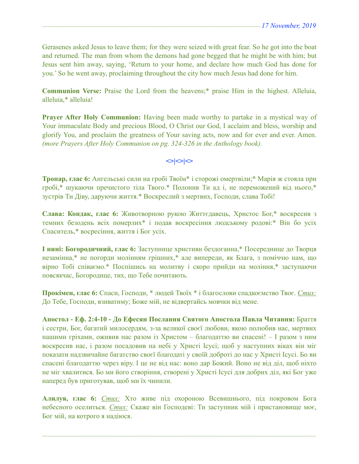Gerasenes asked Jesus to leave them; for they were seized with great fear. So he got into the boat and returned. The man from whom the demons had gone begged that he might be with him; but Jesus sent him away, saying, 'Return to your home, and declare how much God has done for you.' So he went away, proclaiming throughout the city how much Jesus had done for him.

**Communion Verse:** Praise the Lord from the heavens;\* praise Him in the highest. Alleluia, alleluia,\* alleluia!

**Prayer After Holy Communion:** Having been made worthy to partake in a mystical way of Your immaculate Body and precious Blood, O Christ our God, I acclaim and bless, worship and glorify You, and proclaim the greatness of Your saving acts, now and for ever and ever. Amen. *(more Prayers After Holy Communion on pg. 324-326 in the Anthology book).* 

 $\left| \diamond \right| \diamond \left| \diamond \right|$ 

**Тропар, глас 6:** Ангельські сили на гробі Твоїм\* і сторожі омертвіли;\* Марія ж стояла при гробі,\* шукаючи пречистого тіла Твого.\* Полонив Ти ад і, не переможений від нього,\* зустрів Ти Діву, даруючи життя.\* Воскреслий з мертвих, Господи, слава Тобі!

**Слава: Кондак, глас 6:** Животворною рукою Життєдавець, Христос Бог,\* воскресив з темних безодень всіх померлих\* і подав воскресіння людському родові:\* Він бо усіх Спаситель,\* восресіння, життя і Бог усіх.

**І нині: Богородичний, глас 6:** Заступнице християн бездоганна,\* Посереднице до Творця незамінна,\* не погорди молінням грішних,\* але випереди, як Блага, з поміччю нам, що вірно Тобі співаємо.\* Поспішись на молитву і скоро прийди на моління,\* заступаючи повсякчас, Богородице, тих, що Тебе почитають.

**Прокімен, глас 6:** Спаси, Господи, \* людей Твоїх \* і благослови спадкоємство Твоє. *Стих:* До Тебе, Господи, взиватиму; Боже мій, не відвертайсь мовчки від мене.

**Апостол - Еф. 2:4-10 - До Ефесян Послання Святого Апостола Павла Читання:** Браття і сестри, Бог, багатий милосердям, з-за великої своєї любови, якою полюбив нас, мертвих нашими гріхами, оживив нас разом із Христом – благодаттю ви спасені! – І разом з ним воскресив нас, і разом посадовив на небі у Христі Ісусі; щоб у наступних віках він міг показати надзвичайне багатство своєї благодаті у своїй доброті до нас у Христі Ісусі. Бо ви спасені благодаттю через віру. І це не від нас: воно дар Божий. Воно не від діл, щоб ніхто не міг хвалитися. Бо ми його створіння, створені у Христі Ісусі для добрих діл, які Бог уже наперед був приготував, щоб ми їх чинили.

**Алилуя, глас 6:** *Стих:* Хто живе під охороною Всевишнього, під покровом Бога небесного оселиться. *Стих:* Скаже він Господеві: Ти заступник мій і пристановище моє, Бог мій, на котрого я надіюся.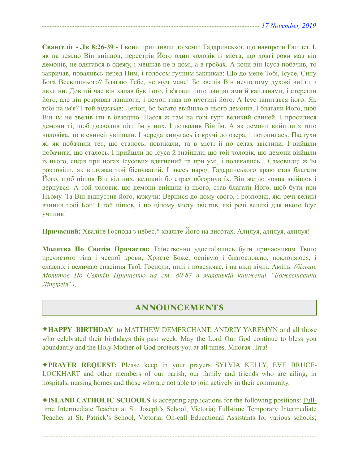**Євангеліє - Лк 8:26-39 -** І вони припливли до землі Гадаринської, що навпроти Галілеї. І, як на землю Він вийшов, перестрів Його один чоловік із міста, що довгі роки мав він демонів, не вдягався в одежу, і мешкав не в домі, а в гробах. А коли він Ісуса побачив, то закричав, поваливсь перед Ним, і голосом гучним закликав: Що до мене Тобі, Ісусе, Сину Бога Всевишнього? Благаю Тебе, не муч мене! Бо звелів Він нечистому духові вийти з людини. Довгий час він хапав був його, і в'язали його ланцюгами й кайданами, і стерегли його, але він розривав ланцюги, і демон гнав по пустині його. А Ісус запитався його: Як тобі на ім'я? І той відказав: Леґіон, бо багато ввійшло в нього демонів. І благали Його, щоб Він їм не звелів іти в безодню. Пасся ж там на горі гурт великий свиней. І просилися демони ті, щоб дозволив піти їм у них. І дозволив Він їм. А як демони вийшли з того чоловіка, то в свиней увійшли. І череда кинулась із кручі до озера, і потопилась. Пастухи ж, як побачили теє, що сталось, повтікали, та в місті й по селах звістили. І вийшли побачити, що сталось. І прийшли до Ісуса й знайшли, що той чоловік, що демони вийшли із нього, сидів при ногах Ісусових вдягнений та при умі, і полякались... Самовидці ж їм розповіли, як видужав той біснуватий. І ввесь народ Гадаринського краю став благати Його, щоб пішов Він від них, великий бо страх обгорнув їх. Він же до човна ввійшов і вернувся. А той чоловік, що демони вийшли із нього, став благати Його, щоб бути при Ньому. Та Він відпустив його, кажучи: Вернися до дому свого, і розповіж, які речі великі вчинив тобі Бог! І той пішов, і по цілому місту звістив, які речі великі для нього Ісус учинив!

**Причасний:** Хваліте Господа з небес,\* хваліте Його на висотах. Алилуя, алилуя, алилуя!

**Молитва По Святім Причастю:** Таїнственно удостоївшись бути причасником Твого пречистого тіла і чесної крови, Христе Боже, оспівую і благословлю, поклоняюся, і славлю, і величаю спасіння Твої, Господи, нині і повсякчас, і на віки вічні. Амінь. *(більше Молитов По Святім Причастю на ст. 80-87 в маленькій книжечці "Божественна Літургія")*.

# ANNOUNCEMENTS

✦**HAPPY BIRTHDAY** to MATTHEW DEMERCHANT, ANDRIY YAREMYN and all those who celebrated their birthdays this past week. May the Lord Our God continue to bless you abundantly and the Holy Mother of God protects you at all times. Многая Літа!

✦**PRAYER REQUEST:** Please keep in your prayers SYLVIA KELLY, EVE BRUCE-LOCKHART and other members of our parish, our family and friends who are ailing, in hospitals, nursing homes and those who are not able to join actively in their community.

✦**ISLAND CATHOLIC SCHOOLS** is accepting applications for the following positions: Fulltime Intermediate Teacher at St. Joseph's School, Victoria; Full-time Temporary Intermediate Teacher at St. Patrick's School, Victoria; On-call Educational Assistants for various schools;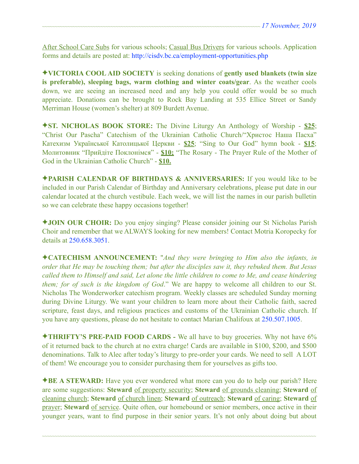After School Care Subs for various schools; Casual Bus Drivers for various schools. Application forms and details are posted at: <http://cisdv.bc.ca/employment-opportunities.php>

✦**VICTORIA COOL AID SOCIETY** is seeking donations of **gently used blankets (twin size is preferable), sleeping bags, warm clothing and winter coats/gear**. As the weather cools down, we are seeing an increased need and any help you could offer would be so much appreciate. Donations can be brought to Rock Bay Landing at 535 Ellice Street or Sandy Merriman House (women's shelter) at 809 Burdett Avenue.

✦**ST. NICHOLAS BOOK STORE:** The Divine Liturgy An Anthology of Worship - **\$25**; "Christ Our Pascha" Catechism of the Ukrainian Catholic Church/"Христос Наша Пасха" Катехизм Української Католицької Церкви - **\$25**; "Sing to Our God" hymn book - **\$15**; Молитовник "Прийдіте Поклонімся" - **\$10;** "The Rosary - The Prayer Rule of the Mother of God in the Ukrainian Catholic Church" - **\$10.** 

✦**PARISH CALENDAR OF BIRTHDAYS & ANNIVERSARIES:** If you would like to be included in our Parish Calendar of Birthday and Anniversary celebrations, please put date in our calendar located at the church vestibule. Each week, we will list the names in our parish bulletin so we can celebrate these happy occasions together!

✦**JOIN OUR CHOIR:** Do you enjoy singing? Please consider joining our St Nicholas Parish Choir and remember that we ALWAYS looking for new members! Contact Motria Koropecky for details at 250.658.3051.

✦**CATECHISM ANNOUNCEMENT:** "*And they were bringing to Him also the infants, in order that He may be touching them; but after the disciples saw it, they rebuked them. But Jesus called them to Himself and said, Let alone the little children to come to Me, and cease hindering them; for of such is the kingdom of God*." We are happy to welcome all children to our St. Nicholas The Wonderworker catechism program. Weekly classes are scheduled Sunday morning during Divine Liturgy. We want your children to learn more about their Catholic faith, sacred scripture, feast days, and religious practices and customs of the Ukrainian Catholic church. If you have any questions, please do not hesitate to contact Marian Chalifoux at 250.507.1005.

✦**THRIFTY'S PRE-PAID FOOD CARDS -** We all have to buy groceries. Why not have 6% of it returned back to the church at no extra charge! Cards are available in \$100, \$200, and \$500 denominations. Talk to Alec after today's liturgy to pre-order your cards. We need to sell A LOT of them! We encourage you to consider purchasing them for yourselves as gifts too.

✦**BE A STEWARD:** Have you ever wondered what more can you do to help our parish? Here are some suggestions: **Steward** of property security; **Steward** of grounds cleaning; **Steward** of cleaning church; **Steward** of church linen; **Steward** of outreach; **Steward** of caring; **Steward** of prayer; **Steward** of service. Quite often, our homebound or senior members, once active in their younger years, want to find purpose in their senior years. It's not only about doing but about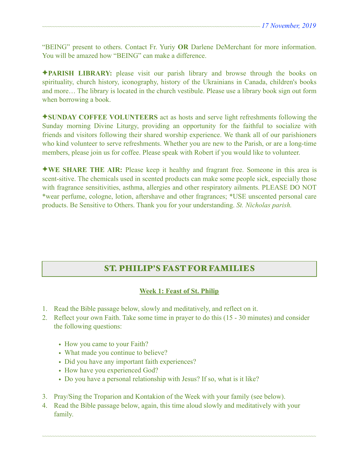"BEING" present to others. Contact Fr. Yuriy **OR** Darlene DeMerchant for more information. You will be amazed how "BEING" can make a difference.

✦**PARISH LIBRARY:** please visit our parish library and browse through the books on spirituality, church history, iconography, history of the Ukrainians in Canada, children's books and more… The library is located in the church vestibule. Please use a library book sign out form when borrowing a book.

✦**SUNDAY COFFEE VOLUNTEERS** act as hosts and serve light refreshments following the Sunday morning Divine Liturgy, providing an opportunity for the faithful to socialize with friends and visitors following their shared worship experience. We thank all of our parishioners who kind volunteer to serve refreshments. Whether you are new to the Parish, or are a long-time members, please join us for coffee. Please speak with Robert if you would like to volunteer.

✦**WE SHARE THE AIR:** Please keep it healthy and fragrant free. Someone in this area is scent-sitive. The chemicals used in scented products can make some people sick, especially those with fragrance sensitivities, asthma, allergies and other respiratory ailments. PLEASE DO NOT \*wear perfume, cologne, lotion, aftershave and other fragrances; \*USE unscented personal care products. Be Sensitive to Others. Thank you for your understanding. *St. Nicholas parish.* 

# ST. PHILIP'S FAST FOR FAMILIES

## **Week 1: Feast of St. Philip**

- 1. Read the Bible passage below, slowly and meditatively, and reflect on it.
- 2. Reflect your own Faith. Take some time in prayer to do this (15 30 minutes) and consider the following questions:
	- How you came to your Faith?
	- What made you continue to believe?
	- Did you have any important faith experiences?
	- How have you experienced God?
	- Do you have a personal relationship with Jesus? If so, what is it like?
- 3. Pray/Sing the Troparion and Kontakion of the Week with your family (see below).
- 4. Read the Bible passage below, again, this time aloud slowly and meditatively with your family.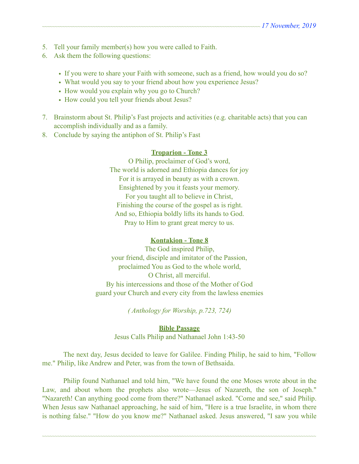- 5. Tell your family member(s) how you were called to Faith.
- 6. Ask them the following questions:
	- If you were to share your Faith with someone, such as a friend, how would you do so?
	- What would you say to your friend about how you experience Jesus?
	- How would you explain why you go to Church?
	- How could you tell your friends about Jesus?
- 7. Brainstorm about St. Philip's Fast projects and activities (e.g. charitable acts) that you can accomplish individually and as a family.
- 8. Conclude by saying the antiphon of St. Philip's Fast

## **Troparion - Tone 3**

O Philip, proclaimer of God's word, The world is adorned and Ethiopia dances for joy For it is arrayed in beauty as with a crown. Ensightened by you it feasts your memory. For you taught all to believe in Christ, Finishing the course of the gospel as is right. And so, Ethiopia boldly lifts its hands to God. Pray to Him to grant great mercy to us.

## **Kontakion - Tone 8**

The God inspired Philip, your friend, disciple and imitator of the Passion, proclaimed You as God to the whole world, O Christ, all merciful. By his intercessions and those of the Mother of God guard your Church and every city from the lawless enemies

*( Anthology for Worship, p.723, 724)* 

**Bible Passage**  Jesus Calls Philip and Nathanael John 1:43-50

 The next day, Jesus decided to leave for Galilee. Finding Philip, he said to him, "Follow me." Philip, like Andrew and Peter, was from the town of Bethsaida.

 Philip found Nathanael and told him, "We have found the one Moses wrote about in the Law, and about whom the prophets also wrote—Jesus of Nazareth, the son of Joseph." "Nazareth! Can anything good come from there?" Nathanael asked. "Come and see," said Philip. When Jesus saw Nathanael approaching, he said of him, "Here is a true Israelite, in whom there is nothing false." "How do you know me?" Nathanael asked. Jesus answered, "I saw you while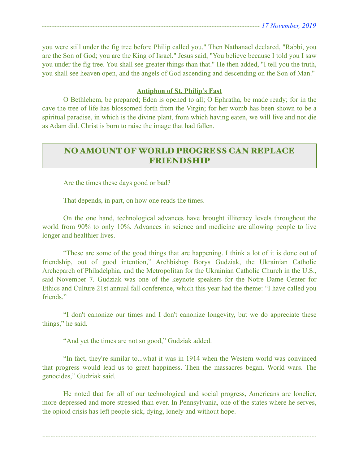you were still under the fig tree before Philip called you." Then Nathanael declared, "Rabbi, you are the Son of God; you are the King of Israel." Jesus said, "You believe because I told you I saw you under the fig tree. You shall see greater things than that." He then added, "I tell you the truth, you shall see heaven open, and the angels of God ascending and descending on the Son of Man."

#### **Antiphon of St. Philip's Fast**

 O Bethlehem, be prepared; Eden is opened to all; O Ephratha, be made ready; for in the cave the tree of life has blossomed forth from the Virgin; for her womb has been shown to be a spiritual paradise, in which is the divine plant, from which having eaten, we will live and not die as Adam did. Christ is born to raise the image that had fallen.

# NO AMOUNT OF WORLD PROGRESS CAN REPLACE FRIENDSHIP

Are the times these days good or bad?

That depends, in part, on how one reads the times.

 On the one hand, technological advances have brought illiteracy levels throughout the world from 90% to only 10%. Advances in science and medicine are allowing people to live longer and healthier lives.

 "These are some of the good things that are happening. I think a lot of it is done out of friendship, out of good intention," Archbishop Borys Gudziak, the Ukrainian Catholic Archeparch of Philadelphia, and the Metropolitan for the Ukrainian Catholic Church in the U.S., said November 7. Gudziak was one of the keynote speakers for the Notre Dame Center for Ethics and Culture 21st annual fall conference, which this year had the theme: "I have called you friends."

 "I don't canonize our times and I don't canonize longevity, but we do appreciate these things," he said.

"And yet the times are not so good," Gudziak added.

 "In fact, they're similar to...what it was in 1914 when the Western world was convinced that progress would lead us to great happiness. Then the massacres began. World wars. The genocides," Gudziak said.

 He noted that for all of our technological and social progress, Americans are lonelier, more depressed and more stressed than ever. In Pennsylvania, one of the states where he serves, the opioid crisis has left people sick, dying, lonely and without hope.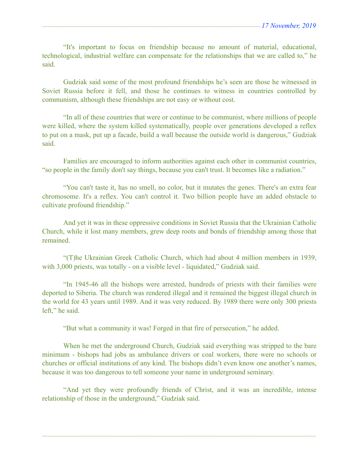"It's important to focus on friendship because no amount of material, educational, technological, industrial welfare can compensate for the relationships that we are called to," he said.

 Gudziak said some of the most profound friendships he's seen are those he witnessed in Soviet Russia before it fell, and those he continues to witness in countries controlled by communism, although these friendships are not easy or without cost.

 "In all of these countries that were or continue to be communist, where millions of people were killed, where the system killed systematically, people over generations developed a reflex to put on a mask, put up a facade, build a wall because the outside world is dangerous," Gudziak said.

 Families are encouraged to inform authorities against each other in communist countries, "so people in the family don't say things, because you can't trust. It becomes like a radiation."

 "You can't taste it, has no smell, no color, but it mutates the genes. There's an extra fear chromosome. It's a reflex. You can't control it. Two billion people have an added obstacle to cultivate profound friendship."

 And yet it was in these oppressive conditions in Soviet Russia that the Ukrainian Catholic Church, while it lost many members, grew deep roots and bonds of friendship among those that remained.

 "(T)he Ukrainian Greek Catholic Church, which had about 4 million members in 1939, with 3,000 priests, was totally - on a visible level - liquidated," Gudziak said.

 "In 1945-46 all the bishops were arrested, hundreds of priests with their families were deported to Siberia. The church was rendered illegal and it remained the biggest illegal church in the world for 43 years until 1989. And it was very reduced. By 1989 there were only 300 priests left," he said.

"But what a community it was! Forged in that fire of persecution," he added.

 When he met the underground Church, Gudziak said everything was stripped to the bare minimum - bishops had jobs as ambulance drivers or coal workers, there were no schools or churches or official institutions of any kind. The bishops didn't even know one another's names, because it was too dangerous to tell someone your name in underground seminary.

 "And yet they were profoundly friends of Christ, and it was an incredible, intense relationship of those in the underground," Gudziak said.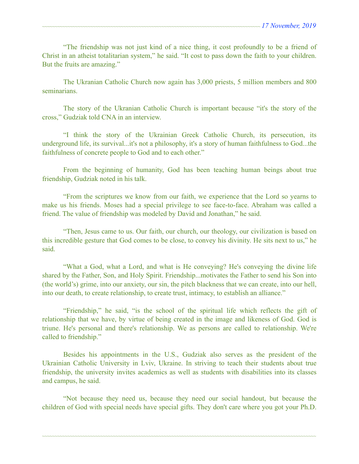"The friendship was not just kind of a nice thing, it cost profoundly to be a friend of Christ in an atheist totalitarian system," he said. "It cost to pass down the faith to your children. But the fruits are amazing."

 The Ukranian Catholic Church now again has 3,000 priests, 5 million members and 800 seminarians.

 The story of the Ukranian Catholic Church is important because "it's the story of the cross," Gudziak told CNA in an interview.

 "I think the story of the Ukrainian Greek Catholic Church, its persecution, its underground life, its survival...it's not a philosophy, it's a story of human faithfulness to God...the faithfulness of concrete people to God and to each other."

 From the beginning of humanity, God has been teaching human beings about true friendship, Gudziak noted in his talk.

 "From the scriptures we know from our faith, we experience that the Lord so yearns to make us his friends. Moses had a special privilege to see face-to-face. Abraham was called a friend. The value of friendship was modeled by David and Jonathan," he said.

 "Then, Jesus came to us. Our faith, our church, our theology, our civilization is based on this incredible gesture that God comes to be close, to convey his divinity. He sits next to us," he said.

 "What a God, what a Lord, and what is He conveying? He's conveying the divine life shared by the Father, Son, and Holy Spirit. Friendship...motivates the Father to send his Son into (the world's) grime, into our anxiety, our sin, the pitch blackness that we can create, into our hell, into our death, to create relationship, to create trust, intimacy, to establish an alliance."

 "Friendship," he said, "is the school of the spiritual life which reflects the gift of relationship that we have, by virtue of being created in the image and likeness of God. God is triune. He's personal and there's relationship. We as persons are called to relationship. We're called to friendship."

 Besides his appointments in the U.S., Gudziak also serves as the president of the Ukrainian Catholic University in Lviv, Ukraine. In striving to teach their students about true friendship, the university invites academics as well as students with disabilities into its classes and campus, he said.

 "Not because they need us, because they need our social handout, but because the children of God with special needs have special gifts. They don't care where you got your Ph.D.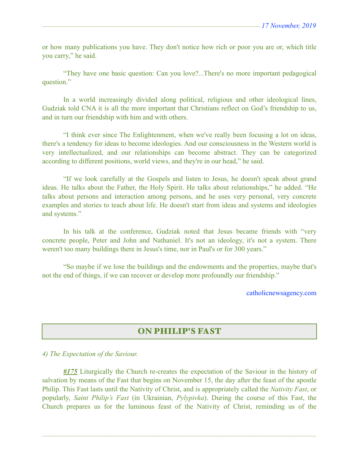or how many publications you have. They don't notice how rich or poor you are or, which title you carry," he said.

 "They have one basic question: Can you love?...There's no more important pedagogical question."

 In a world increasingly divided along political, religious and other ideological lines, Gudziak told CNA it is all the more important that Christians reflect on God's friendship to us, and in turn our friendship with him and with others.

 "I think ever since The Enlightenment, when we've really been focusing a lot on ideas, there's a tendency for ideas to become ideologies. And our consciousness in the Western world is very intellectualized, and our relationships can become abstract. They can be categorized according to different positions, world views, and they're in our head," he said.

 "If we look carefully at the Gospels and listen to Jesus, he doesn't speak about grand ideas. He talks about the Father, the Holy Spirit. He talks about relationships," he added. "He talks about persons and interaction among persons, and he uses very personal, very concrete examples and stories to teach about life. He doesn't start from ideas and systems and ideologies and systems."

 In his talk at the conference, Gudziak noted that Jesus became friends with "very concrete people, Peter and John and Nathaniel. It's not an ideology, it's not a system. There weren't too many buildings there in Jesus's time, nor in Paul's or for 300 years."

 "So maybe if we lose the buildings and the endowments and the properties, maybe that's not the end of things, if we can recover or develop more profoundly our friendship."

[catholicnewsagency.com](http://catholicnewsagency.com) 

# ON PHILIP'S FAST

## *4) The Expectation of the Saviour.*

*#175* Liturgically the Church re-creates the expectation of the Saviour in the history of salvation by means of the Fast that begins on November 15, the day after the feast of the apostle Philip. This Fast lasts until the Nativity of Christ, and is appropriately called the *Nativity Fast*, or popularly, *Saint Philip's Fast* (in Ukrainian, *Pylypivka*). During the course of this Fast, the Church prepares us for the luminous feast of the Nativity of Christ, reminding us of the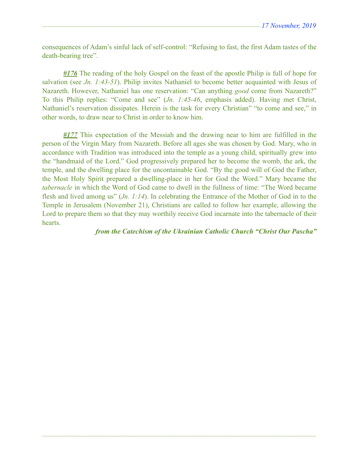consequences of Adam's sinful lack of self-control: "Refusing to fast, the first Adam tastes of the death-bearing tree".

*#176* The reading of the holy Gospel on the feast of the apostle Philip is full of hope for salvation (see *Jn. 1:43-51*). Philip invites Nathaniel to become better acquainted with Jesus of Nazareth. However, Nathaniel has one reservation: "Can anything *good* come from Nazareth?" To this Philip replies: "Come and see" (*Jn. 1:45-46*, emphasis added). Having met Christ, Nathaniel's reservation dissipates. Herein is the task for every Christian" "to come and see," in other words, to draw near to Christ in order to know him.

*#177* This expectation of the Messiah and the drawing near to him are fulfilled in the person of the Virgin Mary from Nazareth. Before all ages she was chosen by God. Mary, who in accordance with Tradition was introduced into the temple as a young child, spiritually grew into the "handmaid of the Lord." God progressively prepared her to become the womb, the ark, the temple, and the dwelling place for the uncontainable God. "By the good will of God the Father, the Most Holy Spirit prepared a dwelling-place in her for God the Word." Mary became the *tabernacle* in which the Word of God came to dwell in the fullness of time: "The Word became flesh and lived among us" (*Jn. 1:14*). In celebrating the Entrance of the Mother of God in to the Temple in Jerusalem (November 21), Christians are called to follow her example, allowing the Lord to prepare them so that they may worthily receive God incarnate into the tabernacle of their hearts.

~~~~~~~~~~~~~~~~~~~~~~~~~~~~~~~~~~~~~~~~~~~~~~~~~~~~~~~~~~~~~~~~~~~~~~~~~~~~~~~~~~~~~~~~~~~~~~~~~~~~~~~~~~~~

#### *from the Catechism of the Ukrainian Catholic Church "Christ Our Pascha"*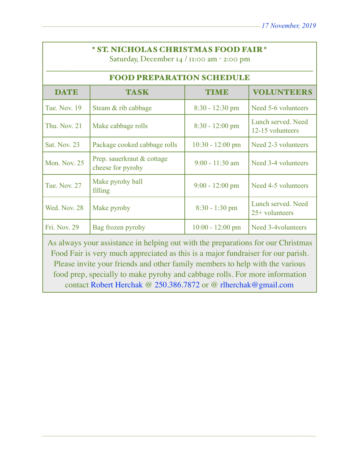Saturday, December 14 / 11:00 am - 2:00 pm

| <b>FOOD PREPARATION SCHEDULE</b> |                                                 |                            |                                        |  |  |
|----------------------------------|-------------------------------------------------|----------------------------|----------------------------------------|--|--|
| <b>DATE</b>                      | <b>TASK</b>                                     | <b>TIME</b>                | <b>VOLUNTEERS</b>                      |  |  |
| <b>Tue. Nov. 19</b>              | Steam & rib cabbage                             | $8:30 - 12:30$ pm          | Need 5-6 volunteers                    |  |  |
| <b>Thu. Nov. 21</b>              | Make cabbage rolls                              | $8:30 - 12:00$ pm          | Lunch served. Need<br>12-15 volunteers |  |  |
| Sat. Nov. 23                     | Package cooked cabbage rolls                    | $10:30 - 12:00 \text{ pm}$ | Need 2-3 volunteers                    |  |  |
| Mon. Nov. 25                     | Prep. sauerkraut & cottage<br>cheese for pyrohy | $9:00 - 11:30$ am          | Need 3-4 volunteers                    |  |  |
| <b>Tue, Nov. 27</b>              | Make pyrohy ball<br>filling                     | $9:00 - 12:00$ pm          | Need 4-5 volunteers                    |  |  |
| Wed. Nov. 28                     | Make pyrohy                                     | $8:30 - 1:30$ pm           | Lunch served. Need<br>$25+$ volunteers |  |  |
| Fri. Nov. 29                     | Bag frozen pyrohy                               | $10:00 - 12:00$ pm         | Need 3-4 volunteers                    |  |  |

As always your assistance in helping out with the preparations for our Christmas Food Fair is very much appreciated as this is a major fundraiser for our parish. Please invite your friends and other family members to help with the various food prep, specially to make pyrohy and cabbage rolls. For more information contact Robert Herchak @ 250.386.7872 or @ [rlherchak@gmail.com](mailto:rlherchak@gmail.com)